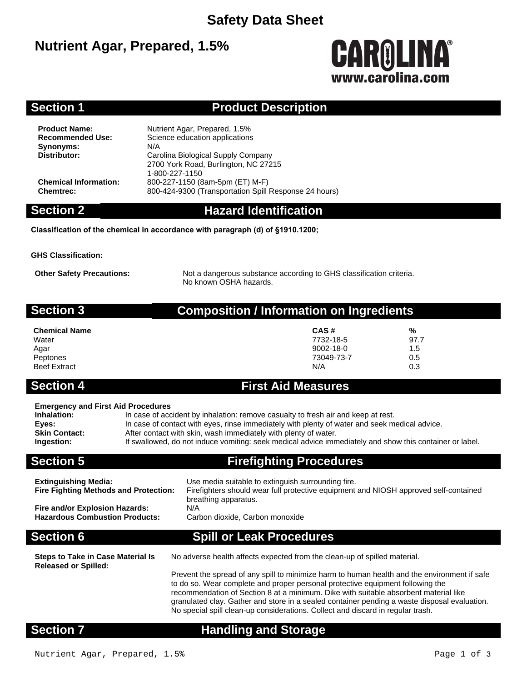## **Safety Data Sheet**

## **Nutrient Agar, Prepared, 1.5%**



### **Section 1 Product Description**

**Synonyms:** N/A<br>**Distributor:** Car

**Product Name:** Nutrient Agar, Prepared, 1.5%<br> **Recommended Use:** Science education applications **Science education applications Distributor:** Carolina Biological Supply Company 2700 York Road, Burlington, NC 27215 1-800-227-1150 **Chemical Information:** 800-227-1150 (8am-5pm (ET) M-F) **Chemtrec:** 800-424-9300 (Transportation Spill Response 24 hours)

### **Section 2 Hazard Identification**

**Classification of the chemical in accordance with paragraph (d) of §1910.1200;**

**GHS Classification:**

**Other Safety Precautions:** Not a dangerous substance according to GHS classification criteria. No known OSHA hazards.

### **Section 3 Composition / Information on Ingredients**

| <b>Chemical Name</b> | CAS#       | <u>%</u> |
|----------------------|------------|----------|
| Water                | 7732-18-5  | 97.7     |
| Agar                 | 9002-18-0  | 1.5      |
| Peptones             | 73049-73-7 | 0.5      |
| <b>Beef Extract</b>  | N/A        | 0.3      |

# **Section 4 First Aid Measures**

### **Emergency and First Aid Procedures**

**Inhalation:** In case of accident by inhalation: remove casualty to fresh air and keep at rest. **Eyes:** In case of contact with eyes, rinse immediately with plenty of water and seek medical advice. **Skin Contact:** After contact with skin, wash immediately with plenty of water.<br> **Ingestion:** If swallowed, do not induce vomiting: seek medical advice imm **Ingestion:** If swallowed, do not induce vomiting: seek medical advice immediately and show this container or label.

**Section 5 Firefighting Procedures**

| <b>Extinguishing Media:</b><br><b>Fire Fighting Methods and Protection:</b> | Use media suitable to extinguish surrounding fire.<br>Firefighters should wear full protective equipment and NIOSH approved self-contained<br>breathing apparatus. |
|-----------------------------------------------------------------------------|--------------------------------------------------------------------------------------------------------------------------------------------------------------------|
| Fire and/or Explosion Hazards:                                              | N/A                                                                                                                                                                |
| <b>Hazardous Combustion Products:</b>                                       | Carbon dioxide, Carbon monoxide                                                                                                                                    |

### **Section 6 Spill or Leak Procedures**

**Released or Spilled:**

No adverse health affects expected from the clean-up of spilled material.

Prevent the spread of any spill to minimize harm to human health and the environment if safe to do so. Wear complete and proper personal protective equipment following the recommendation of Section 8 at a minimum. Dike with suitable absorbent material like granulated clay. Gather and store in a sealed container pending a waste disposal evaluation. No special spill clean-up considerations. Collect and discard in regular trash.

### **Section 7 Handling and Storage**

**Steps to Take in Case Material Is**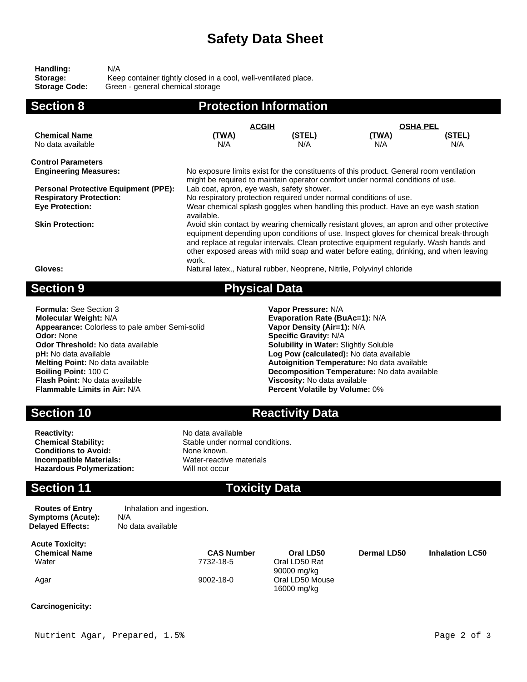## **Safety Data Sheet**

| Handling:            | N/A                                                             |
|----------------------|-----------------------------------------------------------------|
| Storage:             | Keep container tightly closed in a cool, well-ventilated place. |
| <b>Storage Code:</b> | Green - general chemical storage                                |

| <b>Section 8</b>                            | <b>Protection Information</b>                                                                                                                                                                                                                                                                                                                                                  |                      |                     |               |
|---------------------------------------------|--------------------------------------------------------------------------------------------------------------------------------------------------------------------------------------------------------------------------------------------------------------------------------------------------------------------------------------------------------------------------------|----------------------|---------------------|---------------|
|                                             | <b>ACGIH</b>                                                                                                                                                                                                                                                                                                                                                                   |                      | <b>OSHA PEL</b>     |               |
| <b>Chemical Name</b><br>No data available   | <u>(TWA)</u><br>N/A                                                                                                                                                                                                                                                                                                                                                            | <u>(STEL)</u><br>N/A | <u>(TWA)</u><br>N/A | (STEL)<br>N/A |
| <b>Control Parameters</b>                   |                                                                                                                                                                                                                                                                                                                                                                                |                      |                     |               |
| <b>Engineering Measures:</b>                | No exposure limits exist for the constituents of this product. General room ventilation<br>might be required to maintain operator comfort under normal conditions of use.                                                                                                                                                                                                      |                      |                     |               |
| <b>Personal Protective Equipment (PPE):</b> | Lab coat, apron, eye wash, safety shower.                                                                                                                                                                                                                                                                                                                                      |                      |                     |               |
| <b>Respiratory Protection:</b>              | No respiratory protection required under normal conditions of use.                                                                                                                                                                                                                                                                                                             |                      |                     |               |
| <b>Eye Protection:</b>                      | Wear chemical splash goggles when handling this product. Have an eye wash station<br>available.                                                                                                                                                                                                                                                                                |                      |                     |               |
| <b>Skin Protection:</b>                     | Avoid skin contact by wearing chemically resistant gloves, an apron and other protective<br>equipment depending upon conditions of use. Inspect gloves for chemical break-through<br>and replace at regular intervals. Clean protective equipment regularly. Wash hands and<br>other exposed areas with mild soap and water before eating, drinking, and when leaving<br>work. |                      |                     |               |
| Gloves:                                     | Natural latex., Natural rubber, Neoprene, Nitrile, Polyvinyl chloride                                                                                                                                                                                                                                                                                                          |                      |                     |               |
| <b>Section 9</b>                            | <b>Physical Data</b>                                                                                                                                                                                                                                                                                                                                                           |                      |                     |               |

**Formula:** See Section 3 **Vapor Pressure:** N/A **Molecular Weight:** N/A **Evaporation Rate (BuAc=1):** N/A **Appearance:** Colorless to pale amber Semi-solid **Vapor Density (Air=1):** N/A **Odor:** None **Coloring Odor:** None **Consumersity:** Network Codor: None **Specific Gravity:** N/A<br> **Odor Threshold:** No data available **Consumersity: Solubility in Water: S pH:** No data available **Log Pow (calculated):** No data available **Melting Point:** No data available **Autoignition Temperature:** No data available **Boiling Point:** 100 C<br>**Boiling Point:** 100 C **Flash Point:** No data available **Viscosity:** No data available

**Solubility in Water: Slightly Soluble Boiling Point:** 100 C<br> **Boiling Point:** 100 C<br> **Plash Point:** No data available<br> **Plash Point:** No data available<br> **Plash Point:** No data available **Percent Volatile by Volume: 0%** 

**Section 10 <b>Reactivity Data** 

**Reactivity:** No data available<br> **Chemical Stability:** No data available<br>
Stable under norm **Conditions to Avoid:** None known.<br> **Incompatible Materials:** Water-reactive materials **Incompatible Materials:** Water-reactive materials materials and material materials materials materials materials<br> **Hazardous Polymerization:** Will not occur **Hazardous Polymerization:** 

Stable under normal conditions.<br>None known.

### **Section 11 Toxicity Data**

**Routes of Entry Inhalation and ingestion. Symptoms (Acute):** N/A<br>**Delaved Effects:** No data available **Delayed Effects:** 

**Acute Toxicity:** Water 7732-18-5 Oral LD50 Rat

**Chemical Name CAS Number Oral LD50 Dermal LD50 Inhalation LC50** 90000 mg/kg Agar 9002-18-0 Oral LD50 Mouse 16000 mg/kg

**Carcinogenicity:**